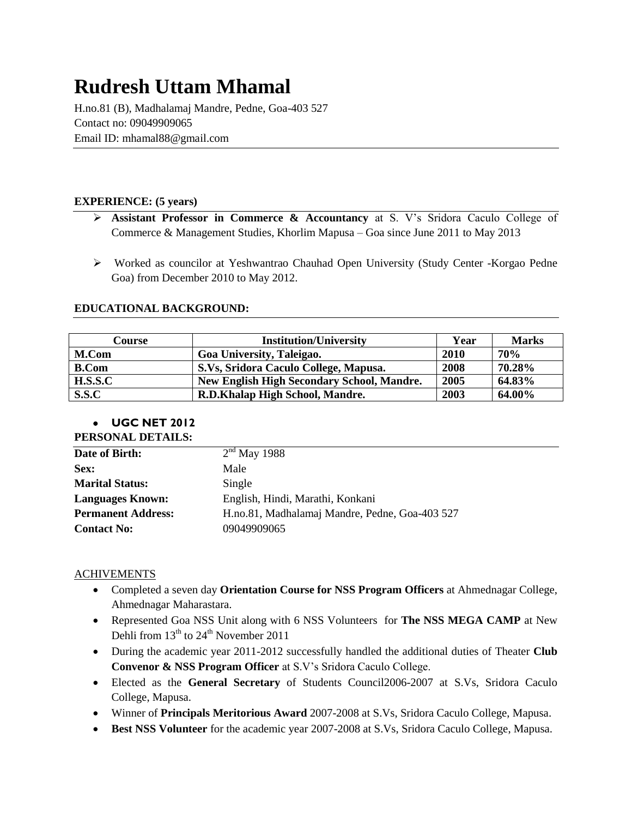# **Rudresh Uttam Mhamal**

H.no.81 (B), Madhalamaj Mandre, Pedne, Goa-403 527 Contact no: 09049909065 Email ID: mhamal88@gmail.com

#### **EXPERIENCE: (5 years)**

- **Assistant Professor in Commerce & Accountancy** at S. V's Sridora Caculo College of Commerce & Management Studies, Khorlim Mapusa – Goa since June 2011 to May 2013
- Worked as councilor at Yeshwantrao Chauhad Open University (Study Center -Korgao Pedne Goa) from December 2010 to May 2012.

#### **EDUCATIONAL BACKGROUND:**

| Course       | <b>Institution/University</b>                     | Year | <b>Marks</b> |
|--------------|---------------------------------------------------|------|--------------|
| M.Com        | Goa University, Taleigao.                         | 2010 | <b>70%</b>   |
| <b>B.Com</b> | S.Vs, Sridora Caculo College, Mapusa.             | 2008 | 70.28%       |
| H.S.S.C      | <b>New English High Secondary School, Mandre.</b> | 2005 | 64.83%       |
| S.S.C        | R.D.Khalap High School, Mandre.                   | 2003 | 64.00%       |

## **UGC NET 2012**

| PERSONAL DETAILS: |            |
|-------------------|------------|
| Date of Birth:    | $2^{nd}$ ] |

| Date of Birth:            | $2nd$ May 1988                                 |
|---------------------------|------------------------------------------------|
| Sex:                      | Male                                           |
| <b>Marital Status:</b>    | Single                                         |
| <b>Languages Known:</b>   | English, Hindi, Marathi, Konkani               |
| <b>Permanent Address:</b> | H.no.81, Madhalamaj Mandre, Pedne, Goa-403 527 |
| <b>Contact No:</b>        | 09049909065                                    |

### **ACHIVEMENTS**

- Completed a seven day **Orientation Course for NSS Program Officers** at Ahmednagar College, Ahmednagar Maharastara.
- Represented Goa NSS Unit along with 6 NSS Volunteers for **The NSS MEGA CAMP** at New Dehli from  $13<sup>th</sup>$  to  $24<sup>th</sup>$  November 2011
- During the academic year 2011-2012 successfully handled the additional duties of Theater **Club Convenor & NSS Program Officer** at S.V's Sridora Caculo College.
- Elected as the **General Secretary** of Students Council2006-2007 at S.Vs, Sridora Caculo College, Mapusa.
- Winner of **Principals Meritorious Award** 2007-2008 at S.Vs, Sridora Caculo College, Mapusa.
- **Best NSS Volunteer** for the academic year 2007-2008 at S.Vs, Sridora Caculo College, Mapusa.